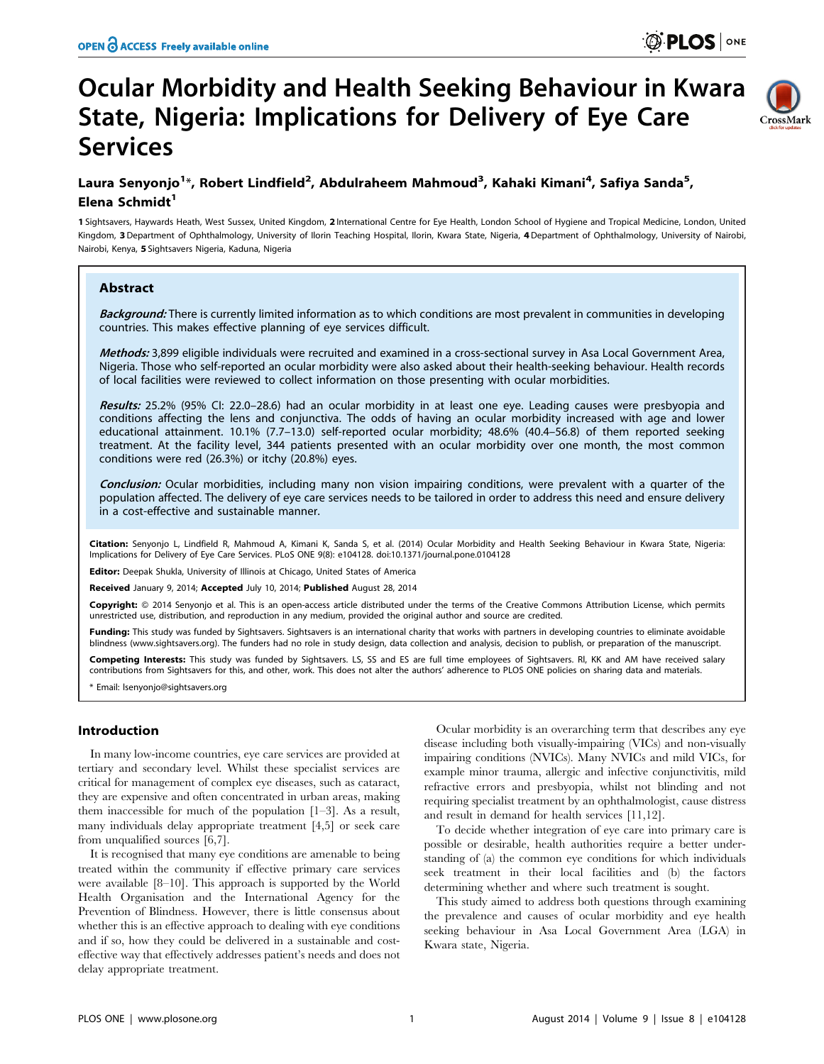# Ocular Morbidity and Health Seeking Behaviour in Kwara State, Nigeria: Implications for Delivery of Eye Care Services



## Laura Senyonjo<sup>1</sup>\*, Robert Lindfield<sup>2</sup>, Abdulraheem Mahmoud<sup>3</sup>, Kahaki Kimani<sup>4</sup>, Safiya Sanda<sup>5</sup>, Elena Schmidt<sup>1</sup>

1 Sightsavers, Haywards Heath, West Sussex, United Kingdom, 2 International Centre for Eye Health, London School of Hygiene and Tropical Medicine, London, United Kingdom, 3 Department of Ophthalmology, University of Ilorin Teaching Hospital, Ilorin, Kwara State, Nigeria, 4Department of Ophthalmology, University of Nairobi, Nairobi, Kenya, 5 Sightsavers Nigeria, Kaduna, Nigeria

## Abstract

Background: There is currently limited information as to which conditions are most prevalent in communities in developing countries. This makes effective planning of eye services difficult.

Methods: 3,899 eligible individuals were recruited and examined in a cross-sectional survey in Asa Local Government Area, Nigeria. Those who self-reported an ocular morbidity were also asked about their health-seeking behaviour. Health records of local facilities were reviewed to collect information on those presenting with ocular morbidities.

Results: 25.2% (95% CI: 22.0–28.6) had an ocular morbidity in at least one eye. Leading causes were presbyopia and conditions affecting the lens and conjunctiva. The odds of having an ocular morbidity increased with age and lower educational attainment. 10.1% (7.7–13.0) self-reported ocular morbidity; 48.6% (40.4–56.8) of them reported seeking treatment. At the facility level, 344 patients presented with an ocular morbidity over one month, the most common conditions were red (26.3%) or itchy (20.8%) eyes.

Conclusion: Ocular morbidities, including many non vision impairing conditions, were prevalent with a quarter of the population affected. The delivery of eye care services needs to be tailored in order to address this need and ensure delivery in a cost-effective and sustainable manner.

Citation: Senyonio L, Lindfield R, Mahmoud A, Kimani K, Sanda S, et al. (2014) Ocular Morbidity and Health Seeking Behaviour in Kwara State, Nigeria: Implications for Delivery of Eye Care Services. PLoS ONE 9(8): e104128. doi:10.1371/journal.pone.0104128

Editor: Deepak Shukla, University of Illinois at Chicago, United States of America

Received January 9, 2014; Accepted July 10, 2014; Published August 28, 2014

Copyright: © 2014 Senyonjo et al. This is an open-access article distributed under the terms of the [Creative Commons Attribution License,](http://creativecommons.org/licenses/by/4.0/) which permits unrestricted use, distribution, and reproduction in any medium, provided the original author and source are credited.

Funding: This study was funded by Sightsavers. Sightsavers is an international charity that works with partners in developing countries to eliminate avoidable blindness ([www.sightsavers.org\)](www.sightsavers.org). The funders had no role in study design, data collection and analysis, decision to publish, or preparation of the manuscript.

Competing Interests: This study was funded by Sightsavers. LS, SS and ES are full time employees of Sightsavers. Rl, KK and AM have received salary contributions from Sightsavers for this, and other, work. This does not alter the authors' adherence to PLOS ONE policies on sharing data and materials.

\* Email: lsenyonjo@sightsavers.org

## Introduction

In many low-income countries, eye care services are provided at tertiary and secondary level. Whilst these specialist services are critical for management of complex eye diseases, such as cataract, they are expensive and often concentrated in urban areas, making them inaccessible for much of the population [1–3]. As a result, many individuals delay appropriate treatment [4,5] or seek care from unqualified sources [6,7].

It is recognised that many eye conditions are amenable to being treated within the community if effective primary care services were available [8–10]. This approach is supported by the World Health Organisation and the International Agency for the Prevention of Blindness. However, there is little consensus about whether this is an effective approach to dealing with eye conditions and if so, how they could be delivered in a sustainable and costeffective way that effectively addresses patient's needs and does not delay appropriate treatment.

Ocular morbidity is an overarching term that describes any eye disease including both visually-impairing (VICs) and non-visually impairing conditions (NVICs). Many NVICs and mild VICs, for example minor trauma, allergic and infective conjunctivitis, mild refractive errors and presbyopia, whilst not blinding and not requiring specialist treatment by an ophthalmologist, cause distress and result in demand for health services [11,12].

To decide whether integration of eye care into primary care is possible or desirable, health authorities require a better understanding of (a) the common eye conditions for which individuals seek treatment in their local facilities and (b) the factors determining whether and where such treatment is sought.

This study aimed to address both questions through examining the prevalence and causes of ocular morbidity and eye health seeking behaviour in Asa Local Government Area (LGA) in Kwara state, Nigeria.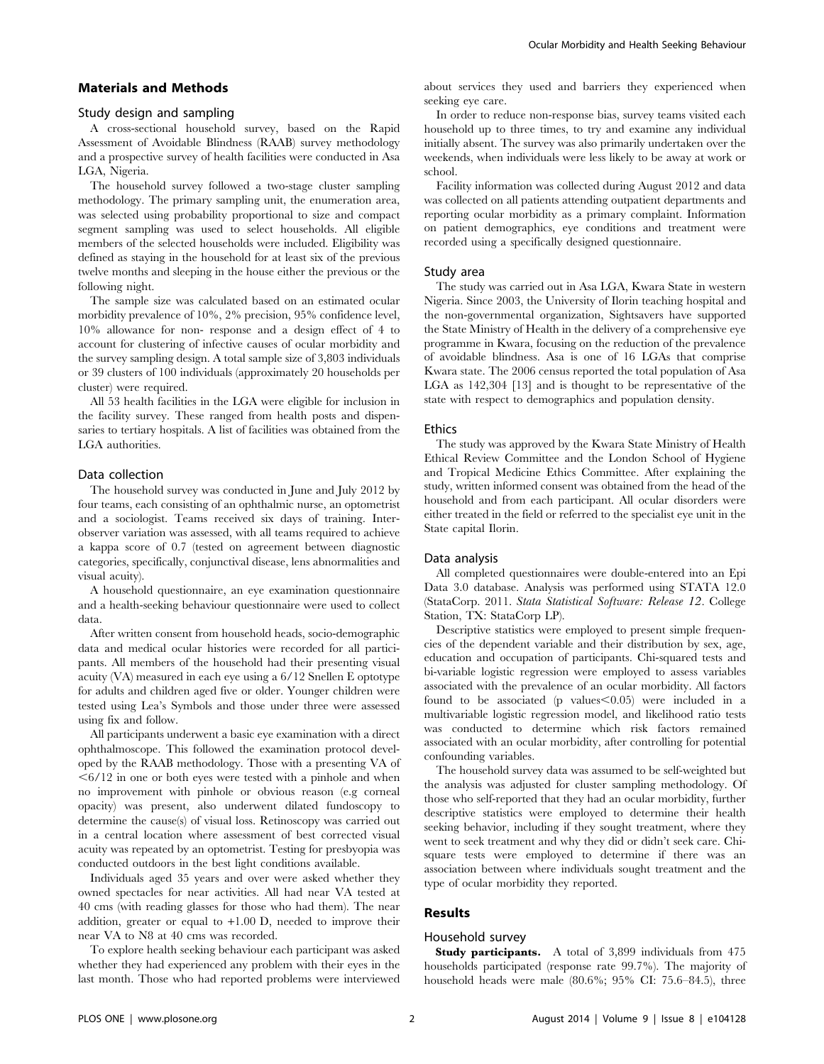## Materials and Methods

#### Study design and sampling

A cross-sectional household survey, based on the Rapid Assessment of Avoidable Blindness (RAAB) survey methodology and a prospective survey of health facilities were conducted in Asa LGA, Nigeria.

The household survey followed a two-stage cluster sampling methodology. The primary sampling unit, the enumeration area, was selected using probability proportional to size and compact segment sampling was used to select households. All eligible members of the selected households were included. Eligibility was defined as staying in the household for at least six of the previous twelve months and sleeping in the house either the previous or the following night.

The sample size was calculated based on an estimated ocular morbidity prevalence of 10%, 2% precision, 95% confidence level, 10% allowance for non- response and a design effect of 4 to account for clustering of infective causes of ocular morbidity and the survey sampling design. A total sample size of 3,803 individuals or 39 clusters of 100 individuals (approximately 20 households per cluster) were required.

All 53 health facilities in the LGA were eligible for inclusion in the facility survey. These ranged from health posts and dispensaries to tertiary hospitals. A list of facilities was obtained from the LGA authorities.

## Data collection

The household survey was conducted in June and July 2012 by four teams, each consisting of an ophthalmic nurse, an optometrist and a sociologist. Teams received six days of training. Interobserver variation was assessed, with all teams required to achieve a kappa score of 0.7 (tested on agreement between diagnostic categories, specifically, conjunctival disease, lens abnormalities and visual acuity).

A household questionnaire, an eye examination questionnaire and a health-seeking behaviour questionnaire were used to collect data.

After written consent from household heads, socio-demographic data and medical ocular histories were recorded for all participants. All members of the household had their presenting visual acuity (VA) measured in each eye using a 6/12 Snellen E optotype for adults and children aged five or older. Younger children were tested using Lea's Symbols and those under three were assessed using fix and follow.

All participants underwent a basic eye examination with a direct ophthalmoscope. This followed the examination protocol developed by the RAAB methodology. Those with a presenting VA of  $<$  6/12 in one or both eyes were tested with a pinhole and when no improvement with pinhole or obvious reason (e.g corneal opacity) was present, also underwent dilated fundoscopy to determine the cause(s) of visual loss. Retinoscopy was carried out in a central location where assessment of best corrected visual acuity was repeated by an optometrist. Testing for presbyopia was conducted outdoors in the best light conditions available.

Individuals aged 35 years and over were asked whether they owned spectacles for near activities. All had near VA tested at 40 cms (with reading glasses for those who had them). The near addition, greater or equal to *+*1.00 D, needed to improve their near VA to N8 at 40 cms was recorded.

To explore health seeking behaviour each participant was asked whether they had experienced any problem with their eyes in the last month. Those who had reported problems were interviewed about services they used and barriers they experienced when seeking eye care.

In order to reduce non-response bias, survey teams visited each household up to three times, to try and examine any individual initially absent. The survey was also primarily undertaken over the weekends, when individuals were less likely to be away at work or school.

Facility information was collected during August 2012 and data was collected on all patients attending outpatient departments and reporting ocular morbidity as a primary complaint. Information on patient demographics, eye conditions and treatment were recorded using a specifically designed questionnaire.

#### Study area

The study was carried out in Asa LGA, Kwara State in western Nigeria. Since 2003, the University of Ilorin teaching hospital and the non-governmental organization, Sightsavers have supported the State Ministry of Health in the delivery of a comprehensive eye programme in Kwara, focusing on the reduction of the prevalence of avoidable blindness. Asa is one of 16 LGAs that comprise Kwara state. The 2006 census reported the total population of Asa LGA as 142,304 [13] and is thought to be representative of the state with respect to demographics and population density.

#### **Ethics**

The study was approved by the Kwara State Ministry of Health Ethical Review Committee and the London School of Hygiene and Tropical Medicine Ethics Committee. After explaining the study, written informed consent was obtained from the head of the household and from each participant. All ocular disorders were either treated in the field or referred to the specialist eye unit in the State capital Ilorin.

#### Data analysis

All completed questionnaires were double-entered into an Epi Data 3.0 database. Analysis was performed using STATA 12.0 (StataCorp. 2011. Stata Statistical Software: Release 12. College Station, TX: StataCorp LP).

Descriptive statistics were employed to present simple frequencies of the dependent variable and their distribution by sex, age, education and occupation of participants. Chi-squared tests and bi-variable logistic regression were employed to assess variables associated with the prevalence of an ocular morbidity. All factors found to be associated (p values $\leq 0.05$ ) were included in a multivariable logistic regression model, and likelihood ratio tests was conducted to determine which risk factors remained associated with an ocular morbidity, after controlling for potential confounding variables.

The household survey data was assumed to be self-weighted but the analysis was adjusted for cluster sampling methodology. Of those who self-reported that they had an ocular morbidity, further descriptive statistics were employed to determine their health seeking behavior, including if they sought treatment, where they went to seek treatment and why they did or didn't seek care. Chisquare tests were employed to determine if there was an association between where individuals sought treatment and the type of ocular morbidity they reported.

#### Results

## Household survey

Study participants. A total of 3,899 individuals from 475 households participated (response rate 99.7%). The majority of household heads were male (80.6%; 95% CI: 75.6–84.5), three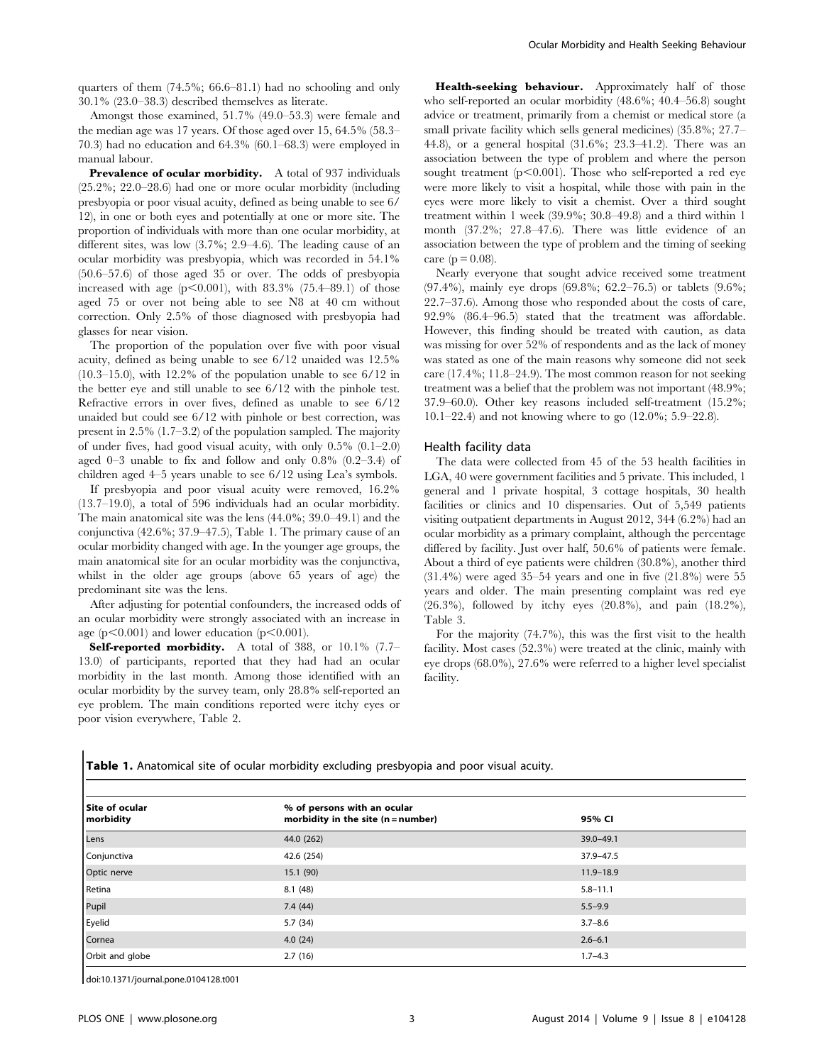quarters of them (74.5%; 66.6–81.1) had no schooling and only 30.1% (23.0–38.3) described themselves as literate.

Amongst those examined, 51.7% (49.0–53.3) were female and the median age was 17 years. Of those aged over 15, 64.5% (58.3– 70.3) had no education and 64.3% (60.1–68.3) were employed in manual labour.

Prevalence of ocular morbidity. A total of 937 individuals (25.2%; 22.0–28.6) had one or more ocular morbidity (including presbyopia or poor visual acuity, defined as being unable to see 6/ 12), in one or both eyes and potentially at one or more site. The proportion of individuals with more than one ocular morbidity, at different sites, was low (3.7%; 2.9–4.6). The leading cause of an ocular morbidity was presbyopia, which was recorded in 54.1% (50.6–57.6) of those aged 35 or over. The odds of presbyopia increased with age  $(p<0.001)$ , with 83.3% (75.4–89.1) of those aged 75 or over not being able to see N8 at 40 cm without correction. Only 2.5% of those diagnosed with presbyopia had glasses for near vision.

The proportion of the population over five with poor visual acuity, defined as being unable to see 6/12 unaided was 12.5% (10.3–15.0), with 12.2% of the population unable to see 6/12 in the better eye and still unable to see 6/12 with the pinhole test. Refractive errors in over fives, defined as unable to see 6/12 unaided but could see 6/12 with pinhole or best correction, was present in 2.5% (1.7–3.2) of the population sampled. The majority of under fives, had good visual acuity, with only 0.5% (0.1–2.0) aged 0–3 unable to fix and follow and only 0.8% (0.2–3.4) of children aged 4–5 years unable to see 6/12 using Lea's symbols.

If presbyopia and poor visual acuity were removed, 16.2% (13.7–19.0), a total of 596 individuals had an ocular morbidity. The main anatomical site was the lens (44.0%; 39.0–49.1) and the conjunctiva (42.6%; 37.9–47.5), Table 1. The primary cause of an ocular morbidity changed with age. In the younger age groups, the main anatomical site for an ocular morbidity was the conjunctiva, whilst in the older age groups (above 65 years of age) the predominant site was the lens.

After adjusting for potential confounders, the increased odds of an ocular morbidity were strongly associated with an increase in age ( $p<0.001$ ) and lower education ( $p<0.001$ ).

Self-reported morbidity. A total of 388, or 10.1% (7.7– 13.0) of participants, reported that they had had an ocular morbidity in the last month. Among those identified with an ocular morbidity by the survey team, only 28.8% self-reported an eye problem. The main conditions reported were itchy eyes or poor vision everywhere, Table 2.

Health-seeking behaviour. Approximately half of those who self-reported an ocular morbidity (48.6%; 40.4–56.8) sought advice or treatment, primarily from a chemist or medical store (a small private facility which sells general medicines) (35.8%; 27.7– 44.8), or a general hospital (31.6%; 23.3–41.2). There was an association between the type of problem and where the person sought treatment ( $p<0.001$ ). Those who self-reported a red eye were more likely to visit a hospital, while those with pain in the eyes were more likely to visit a chemist. Over a third sought treatment within 1 week (39.9%; 30.8–49.8) and a third within 1 month (37.2%; 27.8–47.6). There was little evidence of an association between the type of problem and the timing of seeking care ( $p = 0.08$ ).

Nearly everyone that sought advice received some treatment (97.4%), mainly eye drops (69.8%; 62.2–76.5) or tablets (9.6%; 22.7–37.6). Among those who responded about the costs of care, 92.9% (86.4–96.5) stated that the treatment was affordable. However, this finding should be treated with caution, as data was missing for over 52% of respondents and as the lack of money was stated as one of the main reasons why someone did not seek care (17.4%; 11.8–24.9). The most common reason for not seeking treatment was a belief that the problem was not important (48.9%; 37.9–60.0). Other key reasons included self-treatment (15.2%; 10.1–22.4) and not knowing where to go (12.0%; 5.9–22.8).

## Health facility data

The data were collected from 45 of the 53 health facilities in LGA, 40 were government facilities and 5 private. This included, 1 general and 1 private hospital, 3 cottage hospitals, 30 health facilities or clinics and 10 dispensaries. Out of 5,549 patients visiting outpatient departments in August 2012, 344 (6.2%) had an ocular morbidity as a primary complaint, although the percentage differed by facility. Just over half, 50.6% of patients were female. About a third of eye patients were children (30.8%), another third (31.4%) were aged 35–54 years and one in five (21.8%) were 55 years and older. The main presenting complaint was red eye (26.3%), followed by itchy eyes (20.8%), and pain (18.2%), Table 3.

For the majority (74.7%), this was the first visit to the health facility. Most cases (52.3%) were treated at the clinic, mainly with eye drops (68.0%), 27.6% were referred to a higher level specialist facility.

Table 1. Anatomical site of ocular morbidity excluding presbyopia and poor visual acuity.

| Site of ocular<br>morbidity | % of persons with an ocular<br>morbidity in the site $(n = number)$ | 95% CI        |
|-----------------------------|---------------------------------------------------------------------|---------------|
| Lens                        | 44.0 (262)                                                          | $39.0 - 49.1$ |
| Conjunctiva                 | 42.6 (254)                                                          | 37.9-47.5     |
| Optic nerve                 | 15.1(90)                                                            | $11.9 - 18.9$ |
| Retina                      | 8.1(48)                                                             | $5.8 - 11.1$  |
| Pupil                       | 7.4(44)                                                             | $5.5 - 9.9$   |
| Eyelid                      | 5.7(34)                                                             | $3.7 - 8.6$   |
| Cornea                      | 4.0(24)                                                             | $2.6 - 6.1$   |
| Orbit and globe             | 2.7(16)                                                             | $1.7 - 4.3$   |

doi:10.1371/journal.pone.0104128.t001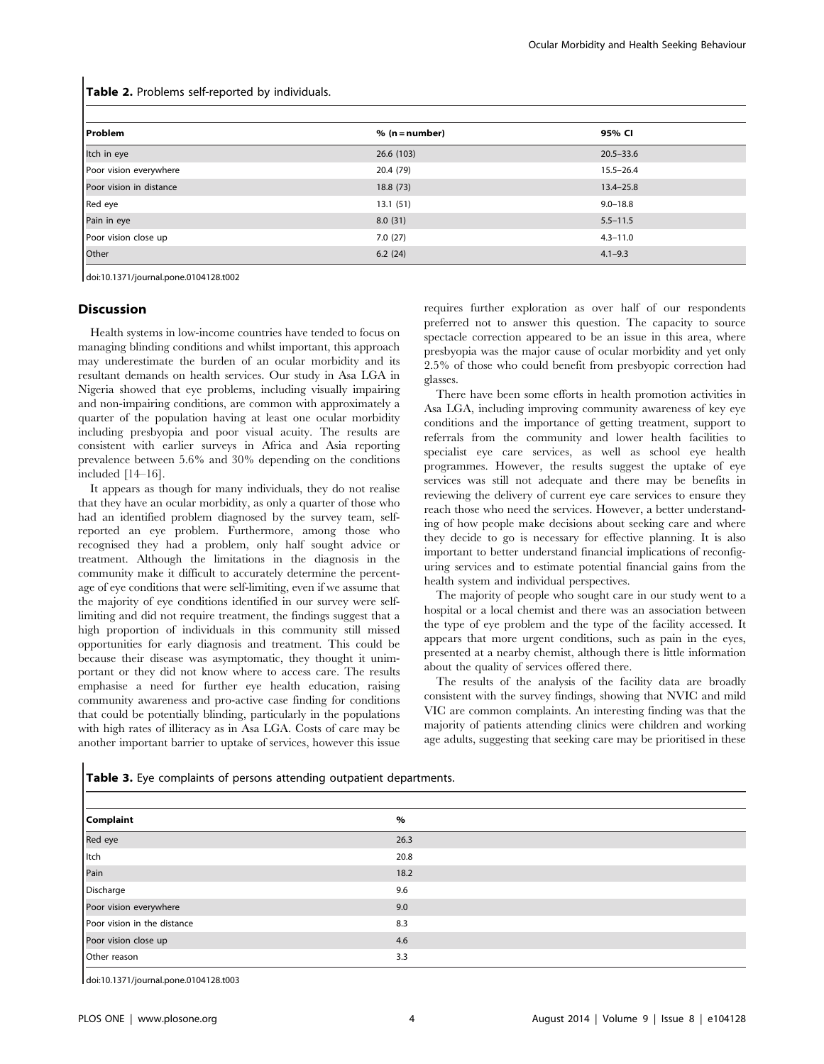Table 2. Problems self-reported by individuals.

| Problem                 | $% (n = number)$ | 95% CI        |
|-------------------------|------------------|---------------|
| Itch in eye             | 26.6(103)        | $20.5 - 33.6$ |
| Poor vision everywhere  | 20.4 (79)        | $15.5 - 26.4$ |
| Poor vision in distance | 18.8(73)         | $13.4 - 25.8$ |
| Red eye                 | 13.1(51)         | $9.0 - 18.8$  |
| Pain in eye             | 8.0(31)          | $5.5 - 11.5$  |
| Poor vision close up    | 7.0(27)          | $4.3 - 11.0$  |
| Other                   | 6.2(24)          | $4.1 - 9.3$   |

doi:10.1371/journal.pone.0104128.t002

## Discussion

Health systems in low-income countries have tended to focus on managing blinding conditions and whilst important, this approach may underestimate the burden of an ocular morbidity and its resultant demands on health services. Our study in Asa LGA in Nigeria showed that eye problems, including visually impairing and non-impairing conditions, are common with approximately a quarter of the population having at least one ocular morbidity including presbyopia and poor visual acuity. The results are consistent with earlier surveys in Africa and Asia reporting prevalence between 5.6% and 30% depending on the conditions included [14–16].

It appears as though for many individuals, they do not realise that they have an ocular morbidity, as only a quarter of those who had an identified problem diagnosed by the survey team, selfreported an eye problem. Furthermore, among those who recognised they had a problem, only half sought advice or treatment. Although the limitations in the diagnosis in the community make it difficult to accurately determine the percentage of eye conditions that were self-limiting, even if we assume that the majority of eye conditions identified in our survey were selflimiting and did not require treatment, the findings suggest that a high proportion of individuals in this community still missed opportunities for early diagnosis and treatment. This could be because their disease was asymptomatic, they thought it unimportant or they did not know where to access care. The results emphasise a need for further eye health education, raising community awareness and pro-active case finding for conditions that could be potentially blinding, particularly in the populations with high rates of illiteracy as in Asa LGA. Costs of care may be another important barrier to uptake of services, however this issue

requires further exploration as over half of our respondents preferred not to answer this question. The capacity to source spectacle correction appeared to be an issue in this area, where presbyopia was the major cause of ocular morbidity and yet only 2.5% of those who could benefit from presbyopic correction had glasses.

There have been some efforts in health promotion activities in Asa LGA, including improving community awareness of key eye conditions and the importance of getting treatment, support to referrals from the community and lower health facilities to specialist eye care services, as well as school eye health programmes. However, the results suggest the uptake of eye services was still not adequate and there may be benefits in reviewing the delivery of current eye care services to ensure they reach those who need the services. However, a better understanding of how people make decisions about seeking care and where they decide to go is necessary for effective planning. It is also important to better understand financial implications of reconfiguring services and to estimate potential financial gains from the health system and individual perspectives.

The majority of people who sought care in our study went to a hospital or a local chemist and there was an association between the type of eye problem and the type of the facility accessed. It appears that more urgent conditions, such as pain in the eyes, presented at a nearby chemist, although there is little information about the quality of services offered there.

The results of the analysis of the facility data are broadly consistent with the survey findings, showing that NVIC and mild VIC are common complaints. An interesting finding was that the majority of patients attending clinics were children and working age adults, suggesting that seeking care may be prioritised in these

| <b>Complaint</b>            | $\%$ |
|-----------------------------|------|
| Red eye                     | 26.3 |
| Itch                        | 20.8 |
| Pain                        | 18.2 |
| Discharge                   | 9.6  |
| Poor vision everywhere      | 9.0  |
| Poor vision in the distance | 8.3  |
| Poor vision close up        | 4.6  |
| Other reason                | 3.3  |

Table 3. Eye complaints of persons attending outpatient departments.

doi:10.1371/journal.pone.0104128.t003